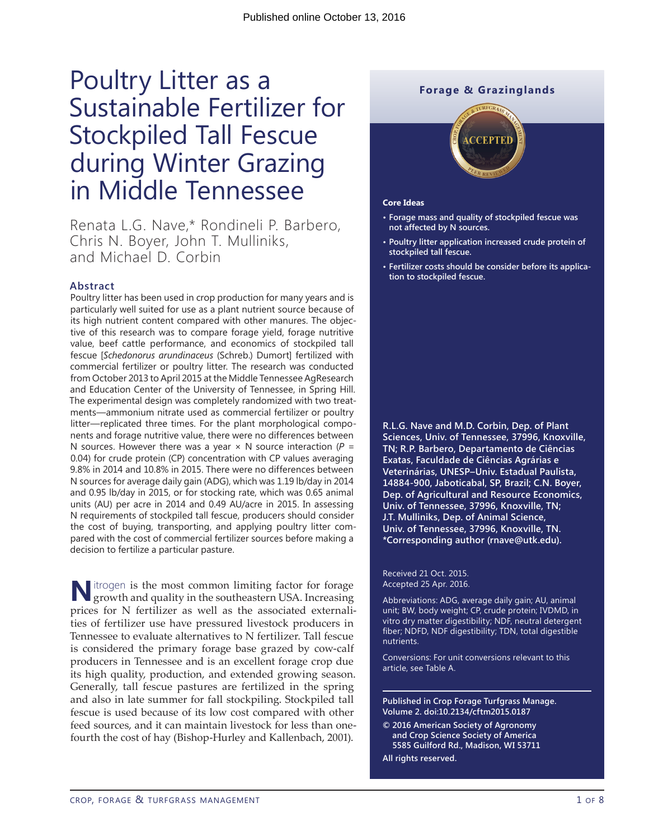# Poultry Litter as a Sustainable Fertilizer for Stockpiled Tall Fescue during Winter Grazing in Middle Tennessee

Renata L.G. Nave,\* Rondineli P. Barbero, Chris N. Boyer, John T. Mulliniks, and Michael D. Corbin

#### **Abstract**

Poultry litter has been used in crop production for many years and is particularly well suited for use as a plant nutrient source because of its high nutrient content compared with other manures. The objective of this research was to compare forage yield, forage nutritive value, beef cattle performance, and economics of stockpiled tall fescue [*Schedonorus arundinaceus* (Schreb.) Dumort] fertilized with commercial fertilizer or poultry litter. The research was conducted from October 2013 to April 2015 at the Middle Tennessee AgResearch and Education Center of the University of Tennessee, in Spring Hill. The experimental design was completely randomized with two treatments—ammonium nitrate used as commercial fertilizer or poultry litter—replicated three times. For the plant morphological components and forage nutritive value, there were no differences between N sources. However there was a year  $\times$  N source interaction ( $P =$ 0.04) for crude protein (CP) concentration with CP values averaging 9.8% in 2014 and 10.8% in 2015. There were no differences between N sources for average daily gain (ADG), which was 1.19 lb/day in 2014 and 0.95 lb/day in 2015, or for stocking rate, which was 0.65 animal units (AU) per acre in 2014 and 0.49 AU/acre in 2015. In assessing N requirements of stockpiled tall fescue, producers should consider the cost of buying, transporting, and applying poultry litter compared with the cost of commercial fertilizer sources before making a decision to fertilize a particular pasture.

**N**itrogen is the most common limiting factor for forage growth and quality in the southeastern USA. Increasing prices for N fertilizer as well as the associated externalities of fertilizer use have pressured livestock producers in Tennessee to evaluate alternatives to N fertilizer. Tall fescue is considered the primary forage base grazed by cow-calf producers in Tennessee and is an excellent forage crop due its high quality, production, and extended growing season. Generally, tall fescue pastures are fertilized in the spring and also in late summer for fall stockpiling. Stockpiled tall fescue is used because of its low cost compared with other feed sources, and it can maintain livestock for less than onefourth the cost of hay (Bishop-Hurley and Kallenbach, 2001).

## **Forage & Grazinglands**



#### **Core Ideas**

- **• Forage mass and quality of stockpiled fescue was not affected by N sources.**
- **• Poultry litter application increased crude protein of stockpiled tall fescue.**
- **• Fertilizer costs should be consider before its application to stockpiled fescue.**

**R.L.G. Nave and M.D. Corbin, Dep. of Plant Sciences, Univ. of Tennessee, 37996, Knoxville, TN; R.P. Barbero, Departamento de Ciências Exatas, Faculdade de Ciências Agrárias e Veterinárias, UNESP–Univ. Estadual Paulista, 14884-900, Jaboticabal, SP, Brazil; C.N. Boyer, Dep. of Agricultural and Resource Economics, Univ. of Tennessee, 37996, Knoxville, TN; J.T. Mulliniks, Dep. of Animal Science, Univ. of Tennessee, 37996, Knoxville, TN. \*Corresponding author [\(rnave@utk.edu](mailto:rnave@utk.edu)).**

Received 21 Oct. 2015. Accepted 25 Apr. 2016.

Abbreviations: ADG, average daily gain; AU, animal unit; BW, body weight; CP, crude protein; IVDMD, in vitro dry matter digestibility; NDF, neutral detergent fiber; NDFD, NDF digestibility; TDN, total digestible nutrients.

Conversions: For unit conversions relevant to this article, see Table A.

**Published in Crop Forage Turfgrass Manage. Volume 2. doi[:10.2134/cftm](10.2134/cftm)2015.0187**

**© 2016 American Society of Agronomy and Crop Science Society of America 5585 Guilford Rd., Madison, WI 53711 All rights reserved.**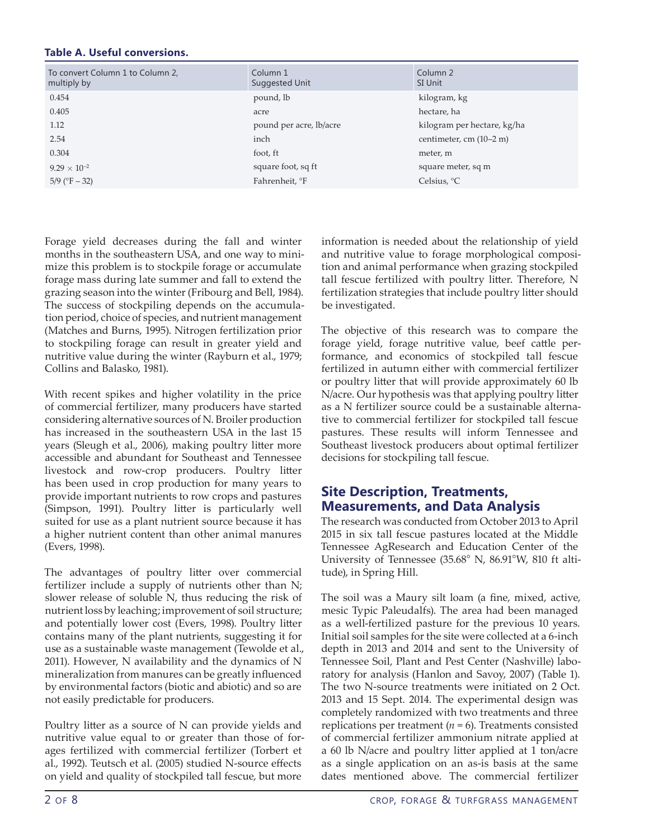## **Table A. Useful conversions.**

| To convert Column 1 to Column 2,<br>multiply by | Column 1<br>Suggested Unit | Column 2<br>SI Unit         |
|-------------------------------------------------|----------------------------|-----------------------------|
| 0.454                                           | pound, lb                  | kilogram, kg                |
| 0.405                                           | acre                       | hectare, ha                 |
| 1.12                                            | pound per acre, lb/acre    | kilogram per hectare, kg/ha |
| 2.54                                            | inch                       | centimeter, cm $(10-2 m)$   |
| 0.304                                           | foot, ft                   | meter, m                    |
| $9.29 \times 10^{-2}$                           | square foot, sq ft         | square meter, sq m          |
| $5/9$ (°F $-32$ )                               | Fahrenheit, °F             | Celsius, $^{\circ}C$        |

Forage yield decreases during the fall and winter months in the southeastern USA, and one way to minimize this problem is to stockpile forage or accumulate forage mass during late summer and fall to extend the grazing season into the winter (Fribourg and Bell, 1984). The success of stockpiling depends on the accumulation period, choice of species, and nutrient management (Matches and Burns, 1995). Nitrogen fertilization prior to stockpiling forage can result in greater yield and nutritive value during the winter (Rayburn et al., 1979; Collins and Balasko, 1981).

With recent spikes and higher volatility in the price of commercial fertilizer, many producers have started considering alternative sources of N. Broiler production has increased in the southeastern USA in the last 15 years (Sleugh et al., 2006), making poultry litter more accessible and abundant for Southeast and Tennessee livestock and row-crop producers. Poultry litter has been used in crop production for many years to provide important nutrients to row crops and pastures (Simpson, 1991). Poultry litter is particularly well suited for use as a plant nutrient source because it has a higher nutrient content than other animal manures (Evers, 1998).

The advantages of poultry litter over commercial fertilizer include a supply of nutrients other than N; slower release of soluble N, thus reducing the risk of nutrient loss by leaching; improvement of soil structure; and potentially lower cost (Evers, 1998). Poultry litter contains many of the plant nutrients, suggesting it for use as a sustainable waste management (Tewolde et al., 2011). However, N availability and the dynamics of N mineralization from manures can be greatly influenced by environmental factors (biotic and abiotic) and so are not easily predictable for producers.

Poultry litter as a source of N can provide yields and nutritive value equal to or greater than those of forages fertilized with commercial fertilizer (Torbert et al., 1992). Teutsch et al. (2005) studied N-source effects on yield and quality of stockpiled tall fescue, but more

information is needed about the relationship of yield and nutritive value to forage morphological composition and animal performance when grazing stockpiled tall fescue fertilized with poultry litter. Therefore, N fertilization strategies that include poultry litter should be investigated.

The objective of this research was to compare the forage yield, forage nutritive value, beef cattle performance, and economics of stockpiled tall fescue fertilized in autumn either with commercial fertilizer or poultry litter that will provide approximately 60 lb N/acre. Our hypothesis was that applying poultry litter as a N fertilizer source could be a sustainable alternative to commercial fertilizer for stockpiled tall fescue pastures. These results will inform Tennessee and Southeast livestock producers about optimal fertilizer decisions for stockpiling tall fescue.

# **Site Description, Treatments, Measurements, and Data Analysis**

The research was conducted from October 2013 to April 2015 in six tall fescue pastures located at the Middle Tennessee AgResearch and Education Center of the University of Tennessee (35.68° N, 86.91°W, 810 ft altitude), in Spring Hill.

The soil was a Maury silt loam (a fine, mixed, active, mesic Typic Paleudalfs). The area had been managed as a well-fertilized pasture for the previous 10 years. Initial soil samples for the site were collected at a 6-inch depth in 2013 and 2014 and sent to the University of Tennessee Soil, Plant and Pest Center (Nashville) laboratory for analysis (Hanlon and Savoy, 2007) (Table 1). The two N-source treatments were initiated on 2 Oct. 2013 and 15 Sept. 2014. The experimental design was completely randomized with two treatments and three replications per treatment  $(n = 6)$ . Treatments consisted of commercial fertilizer ammonium nitrate applied at a 60 lb N/acre and poultry litter applied at 1 ton/acre as a single application on an as-is basis at the same dates mentioned above. The commercial fertilizer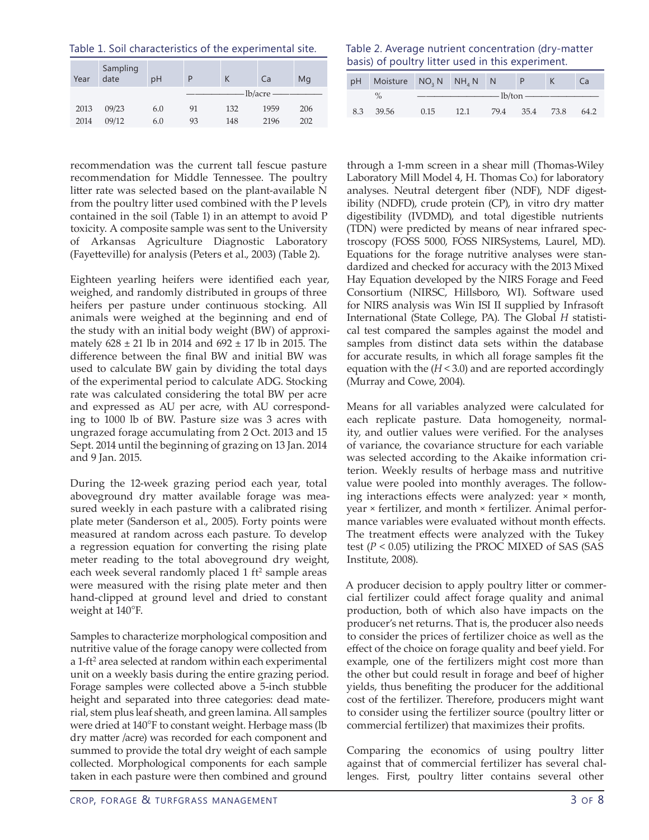| Year | Sampling<br>date | рH  |    | К   | Ca          | Mg  |
|------|------------------|-----|----|-----|-------------|-----|
|      |                  |     |    |     | $lb/acre -$ |     |
| 2013 | 09/23            | 6.0 | 91 | 132 | 1959        | 206 |
| 2014 | 09/12            | 6.0 | 93 | 148 | 2196        | 202 |

recommendation was the current tall fescue pasture recommendation for Middle Tennessee. The poultry litter rate was selected based on the plant-available N from the poultry litter used combined with the P levels contained in the soil (Table 1) in an attempt to avoid P toxicity. A composite sample was sent to the University of Arkansas Agriculture Diagnostic Laboratory (Fayetteville) for analysis (Peters et al., 2003) (Table 2).

Eighteen yearling heifers were identified each year, weighed, and randomly distributed in groups of three heifers per pasture under continuous stocking. All animals were weighed at the beginning and end of the study with an initial body weight (BW) of approximately  $628 \pm 21$  lb in 2014 and  $692 \pm 17$  lb in 2015. The difference between the final BW and initial BW was used to calculate BW gain by dividing the total days of the experimental period to calculate ADG. Stocking rate was calculated considering the total BW per acre and expressed as AU per acre, with AU corresponding to 1000 lb of BW. Pasture size was 3 acres with ungrazed forage accumulating from 2 Oct. 2013 and 15 Sept. 2014 until the beginning of grazing on 13 Jan. 2014 and 9 Jan. 2015.

During the 12-week grazing period each year, total aboveground dry matter available forage was measured weekly in each pasture with a calibrated rising plate meter (Sanderson et al., 2005). Forty points were measured at random across each pasture. To develop a regression equation for converting the rising plate meter reading to the total aboveground dry weight, each week several randomly placed 1 ft<sup>2</sup> sample areas were measured with the rising plate meter and then hand-clipped at ground level and dried to constant weight at 140°F.

Samples to characterize morphological composition and nutritive value of the forage canopy were collected from a 1-ft<sup>2</sup> area selected at random within each experimental unit on a weekly basis during the entire grazing period. Forage samples were collected above a 5-inch stubble height and separated into three categories: dead material, stem plus leaf sheath, and green lamina. All samples were dried at 140°F to constant weight. Herbage mass (lb dry matter /acre) was recorded for each component and summed to provide the total dry weight of each sample collected. Morphological components for each sample taken in each pasture were then combined and ground

Table 2. Average nutrient concentration (dry-matter basis) of poultry litter used in this experiment.

|     | pH Moisture NO <sub>3</sub> N NH <sub>4</sub> N N |                                                                                                                                                                                                                                                                                                                                                                |      |                |  |  | Ca   |  |  |
|-----|---------------------------------------------------|----------------------------------------------------------------------------------------------------------------------------------------------------------------------------------------------------------------------------------------------------------------------------------------------------------------------------------------------------------------|------|----------------|--|--|------|--|--|
|     | $\%$                                              | $\overline{\phantom{a}}$ $\phantom{a}$ $\phantom{a}$ $\phantom{a}$ $\phantom{a}$ $\phantom{a}$ $\phantom{a}$ $\phantom{a}$ $\phantom{a}$ $\phantom{a}$ $\phantom{a}$ $\phantom{a}$ $\phantom{a}$ $\phantom{a}$ $\phantom{a}$ $\phantom{a}$ $\phantom{a}$ $\phantom{a}$ $\phantom{a}$ $\phantom{a}$ $\phantom{a}$ $\phantom{a}$ $\phantom{a}$ $\phantom{a}$ $\$ |      |                |  |  |      |  |  |
| 8.3 | 39.56                                             | 0.15                                                                                                                                                                                                                                                                                                                                                           | 12.1 | 79.4 35.4 73.8 |  |  | 64.2 |  |  |

through a 1-mm screen in a shear mill (Thomas-Wiley Laboratory Mill Model 4, H. Thomas Co.) for laboratory analyses. Neutral detergent fiber (NDF), NDF digestibility (NDFD), crude protein (CP), in vitro dry matter digestibility (IVDMD), and total digestible nutrients (TDN) were predicted by means of near infrared spectroscopy (FOSS 5000, FOSS NIRSystems, Laurel, MD). Equations for the forage nutritive analyses were standardized and checked for accuracy with the 2013 Mixed Hay Equation developed by the NIRS Forage and Feed Consortium (NIRSC, Hillsboro, WI). Software used for NIRS analysis was Win ISI II supplied by Infrasoft International (State College, PA). The Global *H* statistical test compared the samples against the model and samples from distinct data sets within the database for accurate results, in which all forage samples fit the equation with the  $(H < 3.0)$  and are reported accordingly (Murray and Cowe, 2004).

Means for all variables analyzed were calculated for each replicate pasture. Data homogeneity, normality, and outlier values were verified. For the analyses of variance, the covariance structure for each variable was selected according to the Akaike information criterion. Weekly results of herbage mass and nutritive value were pooled into monthly averages. The following interactions effects were analyzed: year × month, year × fertilizer, and month × fertilizer. Animal performance variables were evaluated without month effects. The treatment effects were analyzed with the Tukey test (*P* < 0.05) utilizing the PROC MIXED of SAS (SAS Institute, 2008).

A producer decision to apply poultry litter or commercial fertilizer could affect forage quality and animal production, both of which also have impacts on the producer's net returns. That is, the producer also needs to consider the prices of fertilizer choice as well as the effect of the choice on forage quality and beef yield. For example, one of the fertilizers might cost more than the other but could result in forage and beef of higher yields, thus benefiting the producer for the additional cost of the fertilizer. Therefore, producers might want to consider using the fertilizer source (poultry litter or commercial fertilizer) that maximizes their profits.

Comparing the economics of using poultry litter against that of commercial fertilizer has several challenges. First, poultry litter contains several other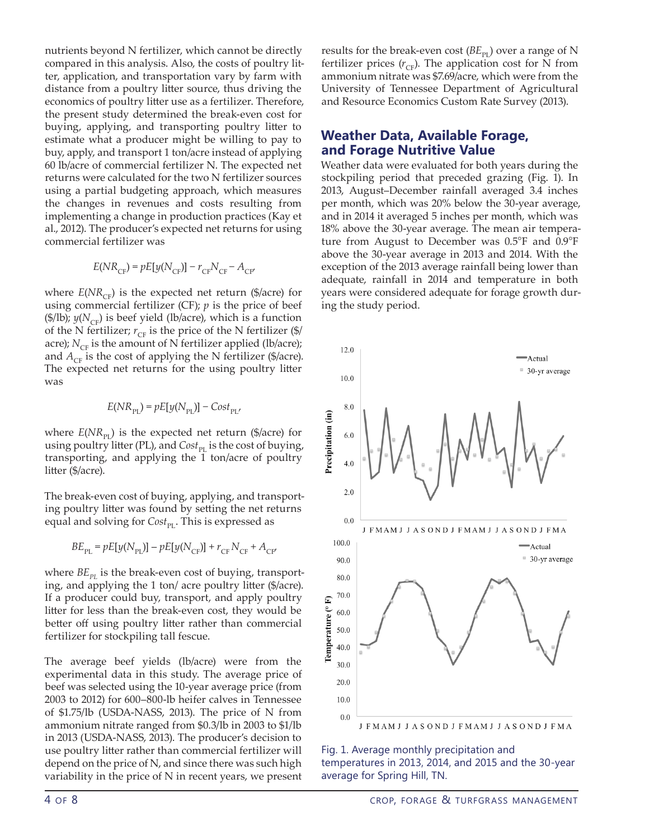nutrients beyond N fertilizer, which cannot be directly compared in this analysis. Also, the costs of poultry litter, application, and transportation vary by farm with distance from a poultry litter source, thus driving the economics of poultry litter use as a fertilizer. Therefore, the present study determined the break-even cost for buying, applying, and transporting poultry litter to estimate what a producer might be willing to pay to buy, apply, and transport 1 ton/acre instead of applying 60 lb/acre of commercial fertilizer N. The expected net returns were calculated for the two N fertilizer sources using a partial budgeting approach, which measures the changes in revenues and costs resulting from implementing a change in production practices (Kay et al., 2012). The producer's expected net returns for using commercial fertilizer was

$$
E(NR_{\rm CF}) = pE[y(N_{\rm CF})] - r_{\rm CF}N_{\rm CF} - A_{\rm CF'}
$$

where  $E(NR_{CF})$  is the expected net return (\$/acre) for using commercial fertilizer (CF); *p* is the price of beef (\$/lb);  $y(N_{CF})$  is beef yield (lb/acre), which is a function of the N fertilizer;  $r_{CF}$  is the price of the N fertilizer (\$/ acre);  $N_{CF}$  is the amount of N fertilizer applied (lb/acre); and  $A_{CF}$  is the cost of applying the N fertilizer (\$/acre). The expected net returns for the using poultry litter was

$$
E(NR_{\rm PL})=pE[y(N_{\rm PL})]-Cost_{\rm PL},
$$

where  $E(NR_{\text{pr}})$  is the expected net return (\$/acre) for using poultry litter (PL), and  $Cost_{\text{PI}}$  is the cost of buying, transporting, and applying the 1 ton/acre of poultry litter (\$/acre).

The break-even cost of buying, applying, and transporting poultry litter was found by setting the net returns equal and solving for  $Cost_{\text{pr}}$ . This is expressed as

$$
BE_{\rm PL} = pE[y(N_{\rm PL})] - pE[y(N_{\rm CF})] + r_{\rm CF} N_{\rm CF} + A_{\rm CF}
$$

where  $BE_{pI}$  is the break-even cost of buying, transporting, and applying the 1 ton/ acre poultry litter (\$/acre). If a producer could buy, transport, and apply poultry litter for less than the break-even cost, they would be better off using poultry litter rather than commercial fertilizer for stockpiling tall fescue.

The average beef yields (lb/acre) were from the experimental data in this study. The average price of beef was selected using the 10-year average price (from 2003 to 2012) for 600–800-lb heifer calves in Tennessee of [\\$1.75/lb](1.75/lb) (USDA-NASS, 2013). The price of N from ammonium nitrate ranged from \$<0.3/lb>in 2003 to \$1/lb in 2013 (USDA-NASS, 2013). The producer's decision to use poultry litter rather than commercial fertilizer will depend on the price of N, and since there was such high variability in the price of N in recent years, we present results for the break-even cost  $(BE_{\text{PI}})$  over a range of N fertilizer prices  $(r_{CF})$ . The application cost for N from ammonium nitrate was [\\$7.69/acre,](7.69/acre) which were from the University of Tennessee Department of Agricultural and Resource Economics Custom Rate Survey (2013).

## **Weather Data, Available Forage, and Forage Nutritive Value**

Weather data were evaluated for both years during the stockpiling period that preceded grazing (Fig. 1). In 2013, August–December rainfall averaged 3.4 inches per month, which was 20% below the 30-year average, and in 2014 it averaged 5 inches per month, which was 18% above the 30-year average. The mean air temperature from August to December was 0.5°F and 0.9°F above the 30-year average in 2013 and 2014. With the exception of the 2013 average rainfall being lower than adequate, rainfall in 2014 and temperature in both years were considered adequate for forage growth during the study period.



Fig. 1. Average monthly precipitation and temperatures in 2013, 2014, and 2015 and the 30-year average for Spring Hill, TN.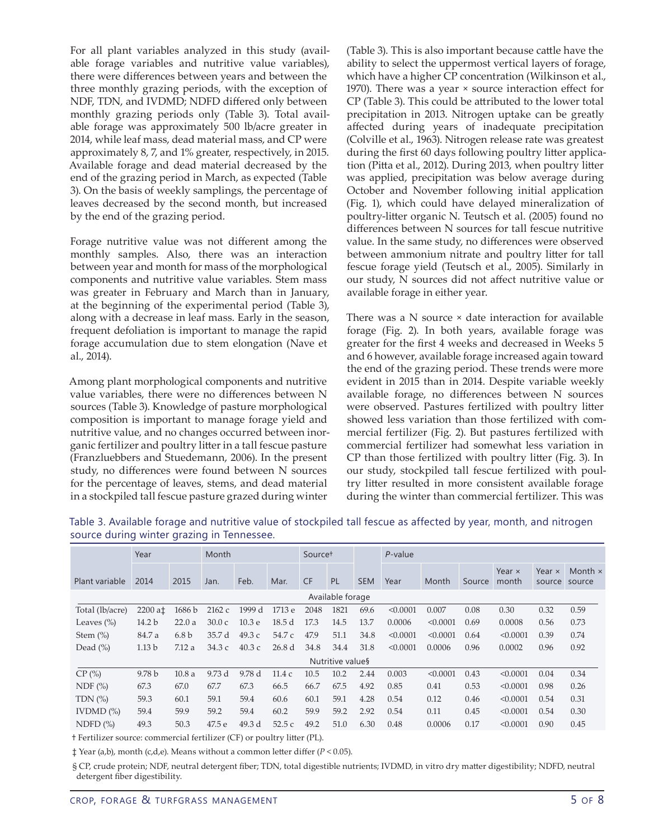For all plant variables analyzed in this study (available forage variables and nutritive value variables), there were differences between years and between the three monthly grazing periods, with the exception of NDF, TDN, and IVDMD; NDFD differed only between monthly grazing periods only (Table 3). Total available forage was approximately 500 lb/acre greater in 2014, while leaf mass, dead material mass, and CP were approximately 8, 7, and 1% greater, respectively, in 2015. Available forage and dead material decreased by the end of the grazing period in March, as expected (Table 3). On the basis of weekly samplings, the percentage of leaves decreased by the second month, but increased by the end of the grazing period.

Forage nutritive value was not different among the monthly samples. Also, there was an interaction between year and month for mass of the morphological components and nutritive value variables. Stem mass was greater in February and March than in January, at the beginning of the experimental period (Table 3), along with a decrease in leaf mass. Early in the season, frequent defoliation is important to manage the rapid forage accumulation due to stem elongation (Nave et al., 2014).

Among plant morphological components and nutritive value variables, there were no differences between N sources (Table 3). Knowledge of pasture morphological composition is important to manage forage yield and nutritive value, and no changes occurred between inorganic fertilizer and poultry litter in a tall fescue pasture (Franzluebbers and Stuedemann, 2006). In the present study, no differences were found between N sources for the percentage of leaves, stems, and dead material in a stockpiled tall fescue pasture grazed during winter

(Table 3). This is also important because cattle have the ability to select the uppermost vertical layers of forage, which have a higher CP concentration (Wilkinson et al., 1970). There was a year × source interaction effect for CP (Table 3). This could be attributed to the lower total precipitation in 2013. Nitrogen uptake can be greatly affected during years of inadequate precipitation (Colville et al., 1963). Nitrogen release rate was greatest during the first 60 days following poultry litter application (Pitta et al., 2012). During 2013, when poultry litter was applied, precipitation was below average during October and November following initial application (Fig. 1), which could have delayed mineralization of poultry-litter organic N. Teutsch et al. (2005) found no differences between N sources for tall fescue nutritive value. In the same study, no differences were observed between ammonium nitrate and poultry litter for tall fescue forage yield (Teutsch et al., 2005). Similarly in our study, N sources did not affect nutritive value or available forage in either year.

There was a N source × date interaction for available forage (Fig. 2). In both years, available forage was greater for the first 4 weeks and decreased in Weeks 5 and 6 however, available forage increased again toward the end of the grazing period. These trends were more evident in 2015 than in 2014. Despite variable weekly available forage, no differences between N sources were observed. Pastures fertilized with poultry litter showed less variation than those fertilized with commercial fertilizer (Fig. 2). But pastures fertilized with commercial fertilizer had somewhat less variation in CP than those fertilized with poultry litter (Fig. 3). In our study, stockpiled tall fescue fertilized with poultry litter resulted in more consistent available forage during the winter than commercial fertilizer. This was

|                  | Year              |                  | Month  |                   | Source <sup>+</sup> |           |      | P-value    |          |          |        |                        |                         |                          |
|------------------|-------------------|------------------|--------|-------------------|---------------------|-----------|------|------------|----------|----------|--------|------------------------|-------------------------|--------------------------|
| Plant variable   | 2014              | 2015             | Jan.   | Feb.              | Mar.                | <b>CF</b> | PL   | <b>SEM</b> | Year     | Month    | Source | Year $\times$<br>month | Year $\times$<br>source | Month $\times$<br>source |
| Available forage |                   |                  |        |                   |                     |           |      |            |          |          |        |                        |                         |                          |
| Total (lb/acre)  | 2200 at           | 1686 b           | 2162c  | 1999 d            | 1713 e              | 2048      | 1821 | 69.6       | < 0.0001 | 0.007    | 0.08   | 0.30                   | 0.32                    | 0.59                     |
| Leaves $(\% )$   | 14.2 <sub>b</sub> | 22.0a            | 30.0c  | 10.3 <sub>e</sub> | 18.5d               | 17.3      | 14.5 | 13.7       | 0.0006   | < 0.0001 | 0.69   | 0.0008                 | 0.56                    | 0.73                     |
| Stem $(\%)$      | 84.7 a            | 6.8 <sub>b</sub> | 35.7 d | 49.3c             | 54.7 c              | 47.9      | 51.1 | 34.8       | < 0.0001 | < 0.0001 | 0.64   | < 0.0001               | 0.39                    | 0.74                     |
| Dead $(\%)$      | 1.13 <sub>b</sub> | 7.12a            | 34.3c  | 40.3c             | 26.8 <sub>d</sub>   | 34.8      | 34.4 | 31.8       | < 0.0001 | 0.0006   | 0.96   | 0.0002                 | 0.96                    | 0.92                     |
| Nutritive value§ |                   |                  |        |                   |                     |           |      |            |          |          |        |                        |                         |                          |
| CP(%)            | 9.78 <sub>b</sub> | 10.8a            | 9.73d  | 9.78 d            | 11.4c               | 10.5      | 10.2 | 2.44       | 0.003    | < 0.0001 | 0.43   | < 0.0001               | 0.04                    | 0.34                     |
| NDF(%)           | 67.3              | 67.0             | 67.7   | 67.3              | 66.5                | 66.7      | 67.5 | 4.92       | 0.85     | 0.41     | 0.53   | < 0.0001               | 0.98                    | 0.26                     |
| TDN $(%)$        | 59.3              | 60.1             | 59.1   | 59.4              | 60.6                | 60.1      | 59.1 | 4.28       | 0.54     | 0.12     | 0.46   | < 0.0001               | 0.54                    | 0.31                     |
| IVDMD $(\%)$     | 59.4              | 59.9             | 59.2   | 59.4              | 60.2                | 59.9      | 59.2 | 2.92       | 0.54     | 0.11     | 0.45   | < 0.0001               | 0.54                    | 0.30                     |
| NDFD(%)          | 49.3              | 50.3             | 47.5 e | 49.3 d            | 52.5c               | 49.2      | 51.0 | 6.30       | 0.48     | 0.0006   | 0.17   | < 0.0001               | 0.90                    | 0.45                     |

Table 3. Available forage and nutritive value of stockpiled tall fescue as affected by year, month, and nitrogen source during winter grazing in Tennessee.

† Fertilizer source: commercial fertilizer (CF) or poultry litter (PL).

‡ Year (a,b), month (c,d,e). Means without a common letter differ (*P* < 0.05).

§ CP, crude protein; NDF, neutral detergent fiber; TDN, total digestible nutrients; IVDMD, in vitro dry matter digestibility; NDFD, neutral detergent fiber digestibility.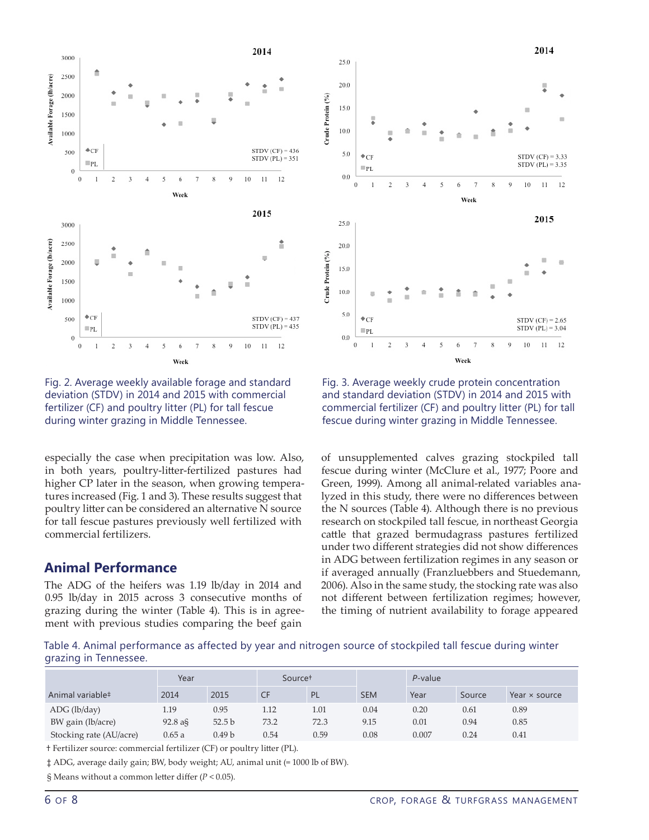

Fig. 2. Average weekly available forage and standard deviation (STDV) in 2014 and 2015 with commercial fertilizer (CF) and poultry litter (PL) for tall fescue during winter grazing in Middle Tennessee.

especially the case when precipitation was low. Also, in both years, poultry-litter-fertilized pastures had higher CP later in the season, when growing temperatures increased (Fig. 1 and 3). These results suggest that poultry litter can be considered an alternative N source for tall fescue pastures previously well fertilized with commercial fertilizers.

## **Animal Performance**

The ADG of the heifers was 1.19 lb/day in 2014 and 0.95 lb/day in 2015 across 3 consecutive months of grazing during the winter (Table 4). This is in agreement with previous studies comparing the beef gain



Fig. 3. Average weekly crude protein concentration and standard deviation (STDV) in 2014 and 2015 with commercial fertilizer (CF) and poultry litter (PL) for tall fescue during winter grazing in Middle Tennessee.

of unsupplemented calves grazing stockpiled tall fescue during winter (McClure et al., 1977; Poore and Green, 1999). Among all animal-related variables analyzed in this study, there were no differences between the N sources (Table 4). Although there is no previous research on stockpiled tall fescue, in northeast Georgia cattle that grazed bermudagrass pastures fertilized under two different strategies did not show differences in ADG between fertilization regimes in any season or if averaged annually (Franzluebbers and Stuedemann, 2006). Also in the same study, the stocking rate was also not different between fertilization regimes; however, the timing of nutrient availability to forage appeared

Table 4. Animal performance as affected by year and nitrogen source of stockpiled tall fescue during winter grazing in Tennessee.

|                              | Year         |                   | Source <sup>+</sup> |           |            | P-value |        |                      |  |
|------------------------------|--------------|-------------------|---------------------|-----------|------------|---------|--------|----------------------|--|
| Animal variable <sup>#</sup> | 2014<br>2015 |                   |                     | <b>PL</b> | <b>SEM</b> | Year    | Source | Year $\times$ source |  |
| ADC (lb/day)                 | 1.19         | 0.95              | 1.12                | 1.01      | 0.04       | 0.20    | 0.61   | 0.89                 |  |
| BW gain (lb/acre)            | $92.8$ a§    | 52.5 <sub>b</sub> | 73.2                | 72.3      | 9.15       | 0.01    | 0.94   | 0.85                 |  |
| Stocking rate (AU/acre)      | 0.65a        | 0.49 b            | 0.54                | 0.59      | 0.08       | 0.007   | 0.24   | 0.41                 |  |

† Fertilizer source: commercial fertilizer (CF) or poultry litter (PL).

‡ ADG, average daily gain; BW, body weight; AU, animal unit (= 1000 lb of BW).

§ Means without a common letter differ (*P* < 0.05).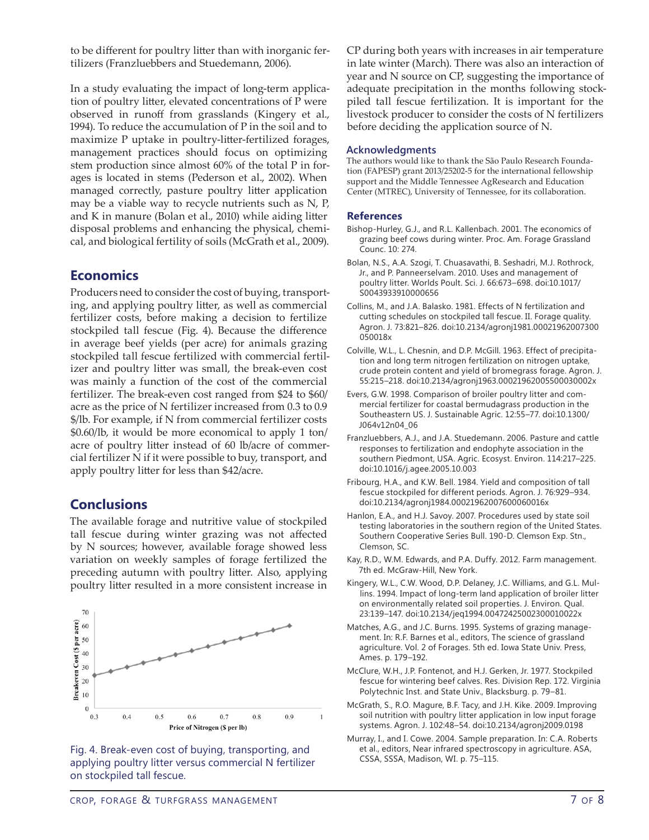to be different for poultry litter than with inorganic fertilizers (Franzluebbers and Stuedemann, 2006).

In a study evaluating the impact of long-term application of poultry litter, elevated concentrations of P were observed in runoff from grasslands (Kingery et al., 1994). To reduce the accumulation of P in the soil and to maximize P uptake in poultry-litter-fertilized forages, management practices should focus on optimizing stem production since almost 60% of the total P in forages is located in stems (Pederson et al., 2002). When managed correctly, pasture poultry litter application may be a viable way to recycle nutrients such as N, P, and K in manure (Bolan et al., 2010) while aiding litter disposal problems and enhancing the physical, chemical, and biological fertility of soils (McGrath et al., 2009).

## **Economics**

Producers need to consider the cost of buying, transporting, and applying poultry litter, as well as commercial fertilizer costs, before making a decision to fertilize stockpiled tall fescue (Fig. 4). Because the difference in average beef yields (per acre) for animals grazing stockpiled tall fescue fertilized with commercial fertilizer and poultry litter was small, the break-even cost was mainly a function of the cost of the commercial fertilizer. The break-even cost ranged from \$24 to \$60/ acre as the price of N fertilizer increased from 0.3 to 0.9 \$/lb. For example, if N from commercial fertilizer costs \$<0.60/lb>, it would be more economical to apply 1 ton/ acre of poultry litter instead of 60 lb/acre of commercial fertilizer N if it were possible to buy, transport, and apply poultry litter for less than \$42/acre.

## **Conclusions**

The available forage and nutritive value of stockpiled tall fescue during winter grazing was not affected by N sources; however, available forage showed less variation on weekly samples of forage fertilized the preceding autumn with poultry litter. Also, applying poultry litter resulted in a more consistent increase in





CP during both years with increases in air temperature in late winter (March). There was also an interaction of year and N source on CP, suggesting the importance of adequate precipitation in the months following stockpiled tall fescue fertilization. It is important for the livestock producer to consider the costs of N fertilizers before deciding the application source of N.

### **Acknowledgments**

The authors would like to thank the São Paulo Research Foundation (FAPESP) grant 2013/25202-5 for the international fellowship support and the Middle Tennessee AgResearch and Education Center (MTREC), University of Tennessee, for its collaboration.

## **References**

- Bishop-Hurley, G.J., and R.L. Kallenbach. 2001. The economics of grazing beef cows during winter. Proc. Am. Forage Grassland Counc. 10: 274.
- Bolan, N.S., A.A. Szogi, T. Chuasavathi, B. Seshadri, M.J. Rothrock, Jr., and P. Panneerselvam. 2010. Uses and management of poultry litter. Worlds Poult. Sci. J. 66:673–698. [doi:10.1017/](http://dx.doi.org/10.1017/S0043933910000656) [S0043933910000656](http://dx.doi.org/10.1017/S0043933910000656)
- Collins, M., and J.A. Balasko. 1981. Effects of N fertilization and cutting schedules on stockpiled tall fescue. II. Forage quality. Agron. J. 73:821–826. [doi:10.2134/agronj1981.00021962007300](http://dx.doi.org/10.2134/agronj1981.00021962007300050018x) [050018x](http://dx.doi.org/10.2134/agronj1981.00021962007300050018x)
- Colville, W.L., L. Chesnin, and D.P. McGill. 1963. Effect of precipitation and long term nitrogen fertilization on nitrogen uptake, crude protein content and yield of bromegrass forage. Agron. J. 55:215–218. [doi:10.2134/agronj1963.00021962005500030002x](http://dx.doi.org/10.2134/agronj1963.00021962005500030002x)
- Evers, G.W. 1998. Comparison of broiler poultry litter and commercial fertilizer for coastal bermudagrass production in the Southeastern US. J. Sustainable Agric. 12:55–77. [doi:10.1300/](http://dx.doi.org/10.1300/J064v12n04_06) [J064v12n04\\_06](http://dx.doi.org/10.1300/J064v12n04_06)
- Franzluebbers, A.J., and J.A. Stuedemann. 2006. Pasture and cattle responses to fertilization and endophyte association in the southern Piedmont, USA. Agric. Ecosyst. Environ. 114:217–225. [doi:10.1016/j.agee.2005.10.003](http://dx.doi.org/10.1016/j.agee.2005.10.003)
- Fribourg, H.A., and K.W. Bell. 1984. Yield and composition of tall fescue stockpiled for different periods. Agron. J. 76:929–934. [doi:10.2134/agronj1984.00021962007600060016x](http://dx.doi.org/10.2134/agronj1984.00021962007600060016x)
- Hanlon, E.A., and H.J. Savoy. 2007. Procedures used by state soil testing laboratories in the southern region of the United States. Southern Cooperative Series Bull. 190-D. Clemson Exp. Stn., Clemson, SC.
- Kay, R.D., W.M. Edwards, and P.A. Duffy. 2012. Farm management. 7th ed. McGraw-Hill, New York.
- Kingery, W.L., C.W. Wood, D.P. Delaney, J.C. Williams, and G.L. Mullins. 1994. Impact of long-term land application of broiler litter on environmentally related soil properties. J. Environ. Qual. 23:139–147. [doi:10.2134/jeq1994.00472425002300010022x](http://dx.doi.org/10.2134/jeq1994.00472425002300010022x)
- Matches, A.G., and J.C. Burns. 1995. Systems of grazing management. In: R.F. Barnes et al., editors, The science of grassland agriculture. Vol. 2 of Forages. 5th ed. Iowa State Univ. Press, Ames. p. 179–192.
- McClure, W.H., J.P. Fontenot, and H.J. Gerken, Jr. 1977. Stockpiled fescue for wintering beef calves. Res. Division Rep. 172. Virginia Polytechnic Inst. and State Univ., Blacksburg. p. 79–81.
- McGrath, S., R.O. Magure, B.F. Tacy, and J.H. Kike. 2009. Improving soil nutrition with poultry litter application in low input forage systems. Agron. J. 102:48–54. [doi:10.2134/agronj2009.0198](http://dx.doi.org/10.2134/agronj2009.0198)
- Murray, I., and I. Cowe. 2004. Sample preparation. In: C.A. Roberts et al., editors, Near infrared spectroscopy in agriculture. ASA,